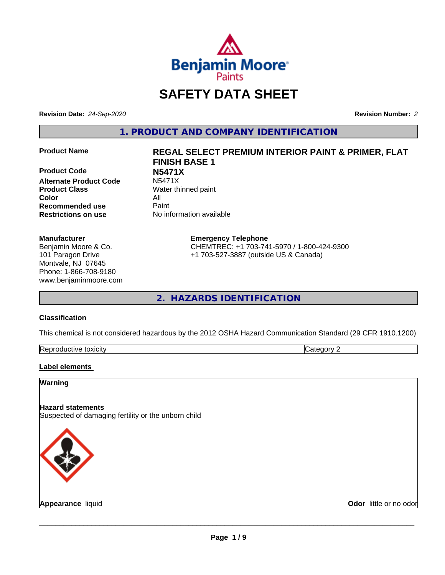

## **SAFETY DATA SHEET**

**Revision Date:** *24-Sep-2020* **Revision Number:** *2*

**1. PRODUCT AND COMPANY IDENTIFICATION**

**Product Code N5471X Alternate Product Code Product Class** Water thinned paint **Color** All **Recommended use** Paint **Restrictions on use** No information available

#### **Manufacturer**

Benjamin Moore & Co. 101 Paragon Drive Montvale, NJ 07645 Phone: 1-866-708-9180 www.benjaminmoore.com

# **Product Name REGAL SELECT PREMIUM INTERIOR PAINT & PRIMER, FLAT FINISH BASE 1**

**Emergency Telephone**

CHEMTREC: +1 703-741-5970 / 1-800-424-9300 +1 703-527-3887 (outside US & Canada)

**2. HAZARDS IDENTIFICATION**

#### **Classification**

This chemical is not considered hazardous by the 2012 OSHA Hazard Communication Standard (29 CFR 1910.1200)

| toxicity<br>RAN<br>rtive<br>-.<br>- - | ١ſ |
|---------------------------------------|----|
|---------------------------------------|----|

#### **Label elements**

#### **Warning**

#### **Hazard statements**

Suspected of damaging fertility or the unborn child



**Appearance** liquid **Contract Contract Contract Contract Contract Contract Contract Contract Contract Contract Contract Contract Contract Contract Contract Contract Contract Contract Contract Contract Contract Contract Con**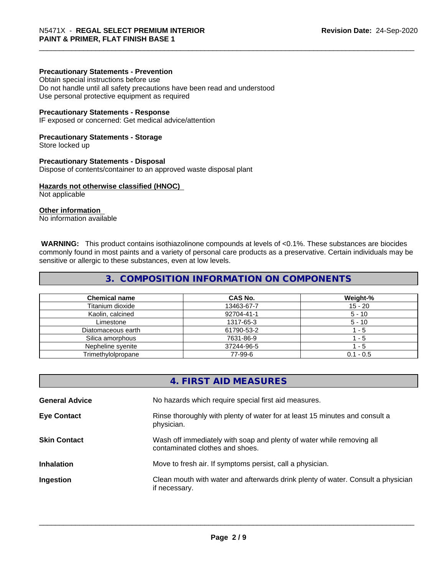#### **Precautionary Statements - Prevention**

Obtain special instructions before use Do not handle until all safety precautions have been read and understood Use personal protective equipment as required

#### **Precautionary Statements - Response**

IF exposed or concerned: Get medical advice/attention

#### **Precautionary Statements - Storage**

Store locked up

#### **Precautionary Statements - Disposal**

Dispose of contents/container to an approved waste disposal plant

#### **Hazards not otherwise classified (HNOC)**

Not applicable

#### **Other information**

No information available

 **WARNING:** This product contains isothiazolinone compounds at levels of <0.1%. These substances are biocides commonly found in most paints and a variety of personal care products as a preservative. Certain individuals may be sensitive or allergic to these substances, even at low levels.

#### **3. COMPOSITION INFORMATION ON COMPONENTS**

| <b>Chemical name</b> | CAS No.    | Weight-%    |
|----------------------|------------|-------------|
| Titanium dioxide     | 13463-67-7 | 15 - 20     |
| Kaolin, calcined     | 92704-41-1 | $5 - 10$    |
| Limestone            | 1317-65-3  | $5 - 10$    |
| Diatomaceous earth   | 61790-53-2 | - 5         |
| Silica amorphous     | 7631-86-9  | - 5         |
| Nepheline syenite    | 37244-96-5 | - 5         |
| Trimethylolpropane   | 77-99-6    | $0.1 - 0.5$ |

|                       | 4. FIRST AID MEASURES                                                                                    |
|-----------------------|----------------------------------------------------------------------------------------------------------|
| <b>General Advice</b> | No hazards which require special first aid measures.                                                     |
| <b>Eye Contact</b>    | Rinse thoroughly with plenty of water for at least 15 minutes and consult a<br>physician.                |
| <b>Skin Contact</b>   | Wash off immediately with soap and plenty of water while removing all<br>contaminated clothes and shoes. |
| <b>Inhalation</b>     | Move to fresh air. If symptoms persist, call a physician.                                                |
| Ingestion             | Clean mouth with water and afterwards drink plenty of water. Consult a physician<br>if necessary.        |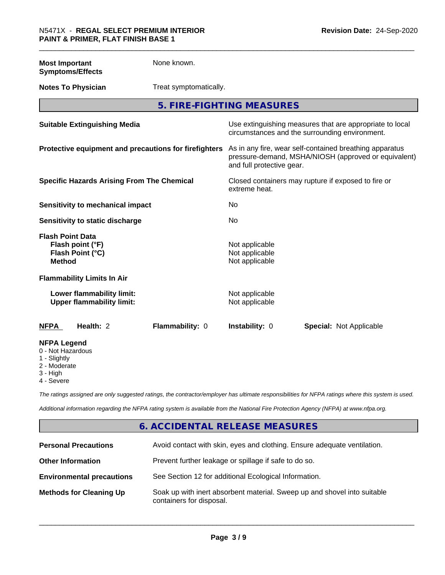**Most Important Symptoms/Effects** None known.

**Notes To Physician** Treat symptomatically.

**5. FIRE-FIGHTING MEASURES**

| <b>Suitable Extinguishing Media</b>                                              | Use extinguishing measures that are appropriate to local<br>circumstances and the surrounding environment.                                   |  |
|----------------------------------------------------------------------------------|----------------------------------------------------------------------------------------------------------------------------------------------|--|
| Protective equipment and precautions for firefighters                            | As in any fire, wear self-contained breathing apparatus<br>pressure-demand, MSHA/NIOSH (approved or equivalent)<br>and full protective gear. |  |
| <b>Specific Hazards Arising From The Chemical</b>                                | Closed containers may rupture if exposed to fire or<br>extreme heat.                                                                         |  |
| Sensitivity to mechanical impact                                                 | No                                                                                                                                           |  |
| Sensitivity to static discharge                                                  | No                                                                                                                                           |  |
| <b>Flash Point Data</b><br>Flash point (°F)<br>Flash Point (°C)<br><b>Method</b> | Not applicable<br>Not applicable<br>Not applicable                                                                                           |  |
| <b>Flammability Limits In Air</b>                                                |                                                                                                                                              |  |
| Lower flammability limit:<br><b>Upper flammability limit:</b>                    | Not applicable<br>Not applicable                                                                                                             |  |
| <b>NFPA</b><br>Health: 2<br>Flammability: 0                                      | <b>Instability: 0</b><br><b>Special: Not Applicable</b>                                                                                      |  |
| <b>NFPA Legend</b><br>0 - Not Hazardous<br>1 - Slightly                          |                                                                                                                                              |  |

2 - Moderate

3 - High

4 - Severe

*The ratings assigned are only suggested ratings, the contractor/employer has ultimate responsibilities for NFPA ratings where this system is used.*

*Additional information regarding the NFPA rating system is available from the National Fire Protection Agency (NFPA) at www.nfpa.org.*

## **6. ACCIDENTAL RELEASE MEASURES**

| <b>Personal Precautions</b>      | Avoid contact with skin, eyes and clothing. Ensure adequate ventilation.                             |
|----------------------------------|------------------------------------------------------------------------------------------------------|
| <b>Other Information</b>         | Prevent further leakage or spillage if safe to do so.                                                |
| <b>Environmental precautions</b> | See Section 12 for additional Ecological Information.                                                |
| <b>Methods for Cleaning Up</b>   | Soak up with inert absorbent material. Sweep up and shovel into suitable<br>containers for disposal. |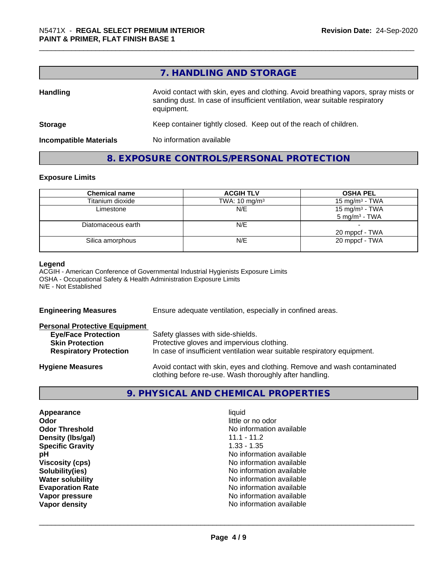## **7. HANDLING AND STORAGE**

| <b>Handling</b>               | Avoid contact with skin, eyes and clothing. Avoid breathing vapors, spray mists or<br>sanding dust. In case of insufficient ventilation, wear suitable respiratory<br>equipment. |  |
|-------------------------------|----------------------------------------------------------------------------------------------------------------------------------------------------------------------------------|--|
| <b>Storage</b>                | Keep container tightly closed. Keep out of the reach of children.                                                                                                                |  |
| <b>Incompatible Materials</b> | No information available                                                                                                                                                         |  |

## **8. EXPOSURE CONTROLS/PERSONAL PROTECTION**

#### **Exposure Limits**

| <b>Chemical name</b> | <b>ACGIH TLV</b>         | <b>OSHA PEL</b>                               |
|----------------------|--------------------------|-----------------------------------------------|
| Titanium dioxide     | TWA: $10 \text{ mg/m}^3$ | 15 mg/m <sup>3</sup> - TWA                    |
| Limestone            | N/E                      | 15 mg/m $3$ - TWA<br>$5 \text{ mg/m}^3$ - TWA |
| Diatomaceous earth   | N/E                      | 20 mppcf - TWA                                |
| Silica amorphous     | N/E                      | 20 mppcf - TWA                                |

#### **Legend**

ACGIH - American Conference of Governmental Industrial Hygienists Exposure Limits OSHA - Occupational Safety & Health Administration Exposure Limits N/E - Not Established

| Ensure adequate ventilation, especially in confined areas.                                                                          |  |
|-------------------------------------------------------------------------------------------------------------------------------------|--|
|                                                                                                                                     |  |
| Safety glasses with side-shields.                                                                                                   |  |
| Protective gloves and impervious clothing.                                                                                          |  |
| In case of insufficient ventilation wear suitable respiratory equipment.                                                            |  |
| Avoid contact with skin, eyes and clothing. Remove and wash contaminated<br>clothing before re-use. Wash thoroughly after handling. |  |
|                                                                                                                                     |  |

## **9. PHYSICAL AND CHEMICAL PROPERTIES**

| Appearance              | liquid                   |
|-------------------------|--------------------------|
| Odor                    | little or no odor        |
| <b>Odor Threshold</b>   | No information available |
| Density (Ibs/gal)       | $11.1 - 11.2$            |
| <b>Specific Gravity</b> | $1.33 - 1.35$            |
| рH                      | No information available |
| <b>Viscosity (cps)</b>  | No information available |
| Solubility(ies)         | No information available |
| <b>Water solubility</b> | No information available |
| <b>Evaporation Rate</b> | No information available |
| Vapor pressure          | No information available |
| Vapor density           | No information available |
|                         |                          |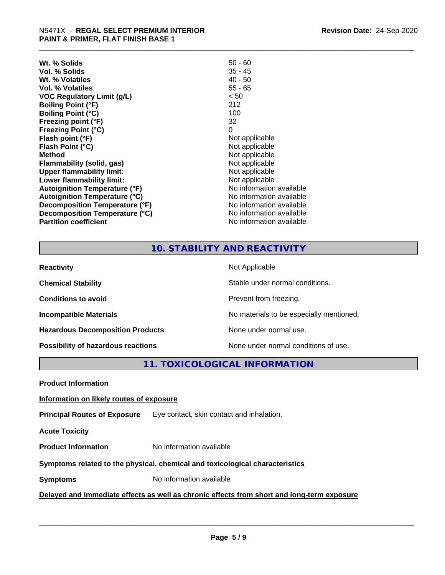| Wt. % Solids                         | $50 - 60$                |
|--------------------------------------|--------------------------|
| Vol. % Solids                        | $35 - 45$                |
| Wt. % Volatiles                      | $40 - 50$                |
| Vol. % Volatiles                     | $55 - 65$                |
| <b>VOC Regulatory Limit (g/L)</b>    | < 50                     |
| <b>Boiling Point (°F)</b>            | 212                      |
| <b>Boiling Point (°C)</b>            | 100                      |
| Freezing point (°F)                  | 32                       |
| <b>Freezing Point (°C)</b>           | 0                        |
| Flash point (°F)                     | Not applicable           |
| Flash Point (°C)                     | Not applicable           |
| <b>Method</b>                        | Not applicable           |
| Flammability (solid, gas)            | Not applicable           |
| <b>Upper flammability limit:</b>     | Not applicable           |
| Lower flammability limit:            | Not applicable           |
| <b>Autoignition Temperature (°F)</b> | No information available |
| <b>Autoignition Temperature (°C)</b> | No information available |
| Decomposition Temperature (°F)       | No information available |
| Decomposition Temperature (°C)       | No information available |
| <b>Partition coefficient</b>         | No information available |

#### **10. STABILITY AND REACTIVITY**

| <b>Reactivity</b>                       | Not Applicable                           |
|-----------------------------------------|------------------------------------------|
| <b>Chemical Stability</b>               | Stable under normal conditions.          |
| <b>Conditions to avoid</b>              | Prevent from freezing.                   |
| <b>Incompatible Materials</b>           | No materials to be especially mentioned. |
| <b>Hazardous Decomposition Products</b> | None under normal use.                   |
| Possibility of hazardous reactions      | None under normal conditions of use.     |

## **11. TOXICOLOGICAL INFORMATION**

**Product Information**

#### **Information on likely routes of exposure**

**Principal Routes of Exposure** Eye contact, skin contact and inhalation.

**Acute Toxicity** 

**Product Information** No information available

#### **Symptoms related to the physical,chemical and toxicological characteristics**

**Symptoms** No information available

#### **Delayed and immediate effects as well as chronic effects from short and long-term exposure**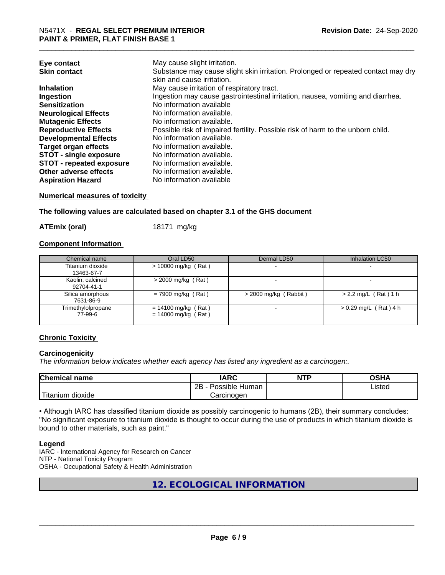| Eye contact<br><b>Skin contact</b> | May cause slight irritation.<br>Substance may cause slight skin irritation. Prolonged or repeated contact may dry<br>skin and cause irritation. |
|------------------------------------|-------------------------------------------------------------------------------------------------------------------------------------------------|
| <b>Inhalation</b>                  | May cause irritation of respiratory tract.                                                                                                      |
| Ingestion                          | Ingestion may cause gastrointestinal irritation, nausea, vomiting and diarrhea.                                                                 |
| <b>Sensitization</b>               | No information available                                                                                                                        |
| <b>Neurological Effects</b>        | No information available.                                                                                                                       |
| <b>Mutagenic Effects</b>           | No information available.                                                                                                                       |
| <b>Reproductive Effects</b>        | Possible risk of impaired fertility. Possible risk of harm to the unborn child.                                                                 |
| <b>Developmental Effects</b>       | No information available.                                                                                                                       |
| <b>Target organ effects</b>        | No information available.                                                                                                                       |
| <b>STOT - single exposure</b>      | No information available.                                                                                                                       |
| <b>STOT - repeated exposure</b>    | No information available.                                                                                                                       |
| Other adverse effects              | No information available.                                                                                                                       |
| <b>Aspiration Hazard</b>           | No information available                                                                                                                        |

#### **Numerical measures of toxicity**

**The following values are calculated based on chapter 3.1 of the GHS document**

**ATEmix (oral)** 18171 mg/kg

#### **Component Information**

| Chemical name                  | Oral LD50                                      | Dermal LD50             | Inhalation LC50         |
|--------------------------------|------------------------------------------------|-------------------------|-------------------------|
| Titanium dioxide<br>13463-67-7 | $> 10000$ mg/kg (Rat)                          |                         |                         |
| Kaolin, calcined<br>92704-41-1 | $>$ 2000 mg/kg (Rat)                           |                         |                         |
| Silica amorphous<br>7631-86-9  | $= 7900$ mg/kg (Rat)                           | $>$ 2000 mg/kg (Rabbit) | $> 2.2$ mg/L (Rat) 1 h  |
| Trimethylolpropane<br>77-99-6  | $= 14100$ mg/kg (Rat)<br>$= 14000$ mg/kg (Rat) |                         | $> 0.29$ mg/L (Rat) 4 h |

#### **Chronic Toxicity**

#### **Carcinogenicity**

*The information below indicateswhether each agency has listed any ingredient as a carcinogen:.*

| <b>Chemical</b><br>name            | <b>IARC</b>                                | <b>NTP</b> | ດເ⊔າ<br>∪אח |
|------------------------------------|--------------------------------------------|------------|-------------|
|                                    | .<br>クロ<br>Human<br>Possible<br><u>_ _</u> |            | ∟isted      |
| .<br><br>dioxide<br><b>itanium</b> | Carcinogen                                 |            |             |

• Although IARC has classified titanium dioxide as possibly carcinogenic to humans (2B), their summary concludes: "No significant exposure to titanium dioxide is thought to occur during the use of products in which titanium dioxide is bound to other materials, such as paint."

#### **Legend**

IARC - International Agency for Research on Cancer NTP - National Toxicity Program OSHA - Occupational Safety & Health Administration

**12. ECOLOGICAL INFORMATION**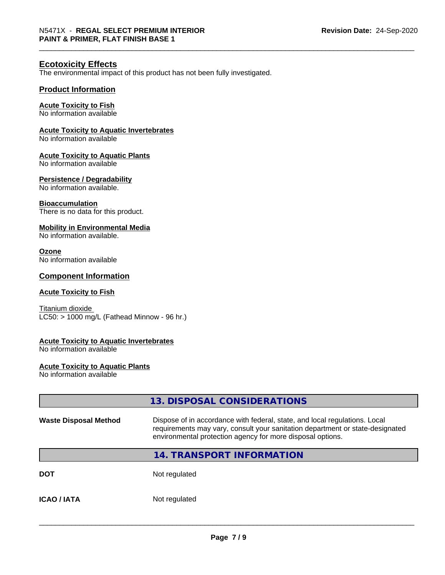#### **Ecotoxicity Effects**

The environmental impact of this product has not been fully investigated.

#### **Product Information**

#### **Acute Toxicity to Fish**

No information available

#### **Acute Toxicity to Aquatic Invertebrates**

No information available

#### **Acute Toxicity to Aquatic Plants**

No information available

#### **Persistence / Degradability**

No information available.

#### **Bioaccumulation**

There is no data for this product.

#### **Mobility in Environmental Media**

No information available.

#### **Ozone**

No information available

#### **Component Information**

#### **Acute Toxicity to Fish**

Titanium dioxide  $LC50:$  > 1000 mg/L (Fathead Minnow - 96 hr.)

#### **Acute Toxicity to Aquatic Invertebrates**

No information available

#### **Acute Toxicity to Aquatic Plants**

No information available

|                              | 13. DISPOSAL CONSIDERATIONS                                                                                                                                                                                               |
|------------------------------|---------------------------------------------------------------------------------------------------------------------------------------------------------------------------------------------------------------------------|
| <b>Waste Disposal Method</b> | Dispose of in accordance with federal, state, and local regulations. Local<br>requirements may vary, consult your sanitation department or state-designated<br>environmental protection agency for more disposal options. |
|                              | <b>14. TRANSPORT INFORMATION</b>                                                                                                                                                                                          |
| <b>DOT</b>                   | Not regulated                                                                                                                                                                                                             |
| <b>ICAO/IATA</b>             | Not regulated                                                                                                                                                                                                             |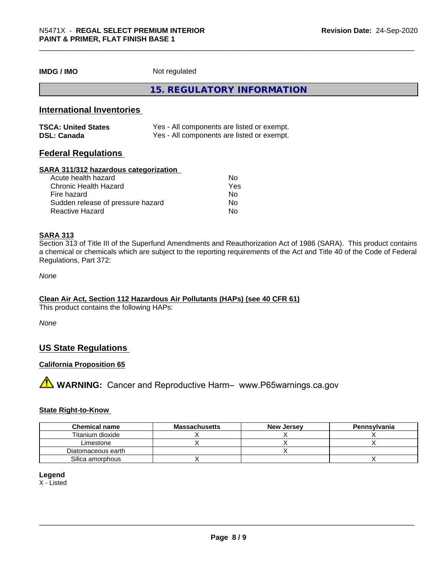**IMDG / IMO** Not regulated

**15. REGULATORY INFORMATION**

#### **International Inventories**

| <b>TSCA: United States</b> | Yes - All components are listed or exempt. |
|----------------------------|--------------------------------------------|
| <b>DSL: Canada</b>         | Yes - All components are listed or exempt. |

#### **Federal Regulations**

#### **SARA 311/312 hazardous categorization**

| Acute health hazard               | No  |  |
|-----------------------------------|-----|--|
| Chronic Health Hazard             | Yes |  |
| Fire hazard                       | No  |  |
| Sudden release of pressure hazard | Nο  |  |
| Reactive Hazard                   | Nο  |  |

#### **SARA 313**

Section 313 of Title III of the Superfund Amendments and Reauthorization Act of 1986 (SARA). This product contains a chemical or chemicals which are subject to the reporting requirements of the Act and Title 40 of the Code of Federal Regulations, Part 372:

*None*

#### **Clean Air Act,Section 112 Hazardous Air Pollutants (HAPs) (see 40 CFR 61)**

This product contains the following HAPs:

*None*

#### **US State Regulations**

#### **California Proposition 65**

**A** WARNING: Cancer and Reproductive Harm– www.P65warnings.ca.gov

#### **State Right-to-Know**

| <b>Chemical name</b> | <b>Massachusetts</b> | <b>New Jersey</b> | Pennsylvania |
|----------------------|----------------------|-------------------|--------------|
| Titanium dioxide     |                      |                   |              |
| Limestone            |                      |                   |              |
| Diatomaceous earth   |                      |                   |              |
| Silica amorphous     |                      |                   |              |

#### **Legend**

X - Listed